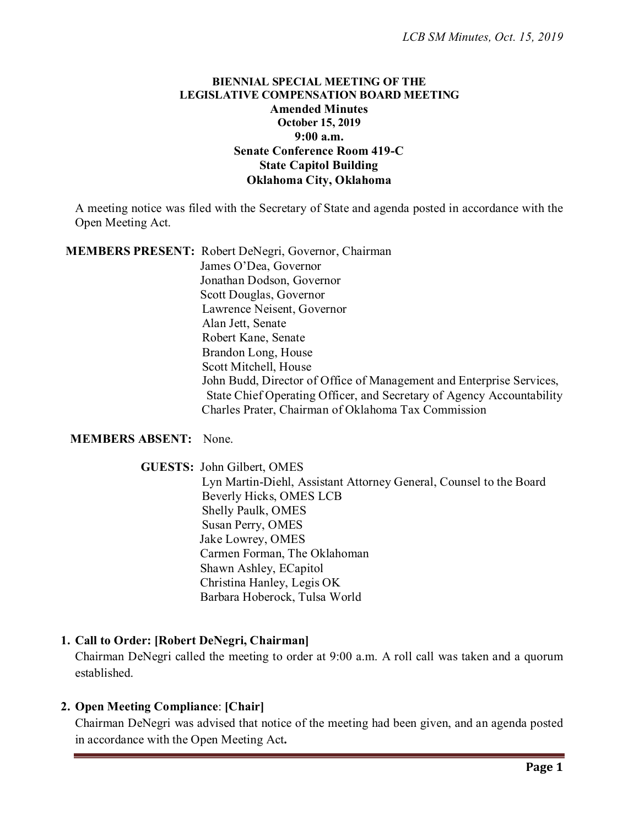## **BIENNIAL SPECIAL MEETING OF THE LEGISLATIVE COMPENSATION BOARD MEETING Amended Minutes October 15, 2019 9:00 a.m. Senate Conference Room 419-C State Capitol Building Oklahoma City, Oklahoma**

A meeting notice was filed with the Secretary of State and agenda posted in accordance with the Open Meeting Act.

**MEMBERS PRESENT:** Robert DeNegri, Governor, Chairman

James O'Dea, Governor Jonathan Dodson, Governor Scott Douglas, Governor Lawrence Neisent, Governor Alan Jett, Senate Robert Kane, Senate Brandon Long, House Scott Mitchell, House John Budd, Director of Office of Management and Enterprise Services, State Chief Operating Officer, and Secretary of Agency Accountability Charles Prater, Chairman of Oklahoma Tax Commission

## **MEMBERS ABSENT:** None.

 **GUESTS:** John Gilbert, OMES Lyn Martin-Diehl, Assistant Attorney General, Counsel to the Board Beverly Hicks, OMES LCB Shelly Paulk, OMES Susan Perry, OMES Jake Lowrey, OMES Carmen Forman, The Oklahoman Shawn Ashley, ECapitol Christina Hanley, Legis OK Barbara Hoberock, Tulsa World

## **1. Call to Order: [Robert DeNegri, Chairman]**

Chairman DeNegri called the meeting to order at 9:00 a.m. A roll call was taken and a quorum established.

## **2. Open Meeting Compliance**: **[Chair]**

Chairman DeNegri was advised that notice of the meeting had been given, and an agenda posted in accordance with the Open Meeting Act**.**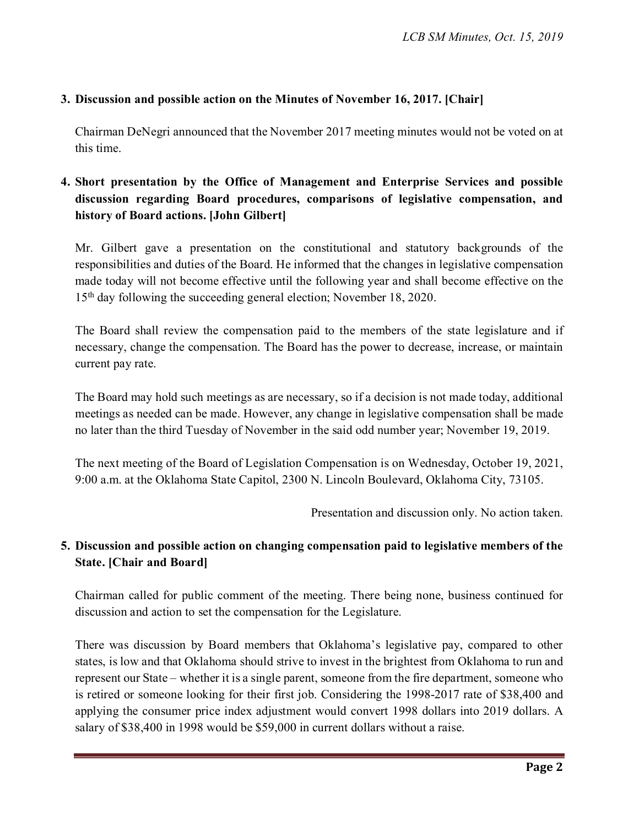## **3. Discussion and possible action on the Minutes of November 16, 2017. [Chair]**

Chairman DeNegri announced that the November 2017 meeting minutes would not be voted on at this time.

# **4. Short presentation by the Office of Management and Enterprise Services and possible discussion regarding Board procedures, comparisons of legislative compensation, and history of Board actions. [John Gilbert]**

Mr. Gilbert gave a presentation on the constitutional and statutory backgrounds of the responsibilities and duties of the Board. He informed that the changes in legislative compensation made today will not become effective until the following year and shall become effective on the 15<sup>th</sup> day following the succeeding general election; November 18, 2020.

The Board shall review the compensation paid to the members of the state legislature and if necessary, change the compensation. The Board has the power to decrease, increase, or maintain current pay rate.

The Board may hold such meetings as are necessary, so if a decision is not made today, additional meetings as needed can be made. However, any change in legislative compensation shall be made no later than the third Tuesday of November in the said odd number year; November 19, 2019.

The next meeting of the Board of Legislation Compensation is on Wednesday, October 19, 2021, 9:00 a.m. at the Oklahoma State Capitol, 2300 N. Lincoln Boulevard, Oklahoma City, 73105.

Presentation and discussion only. No action taken.

## **5. Discussion and possible action on changing compensation paid to legislative members of the State. [Chair and Board]**

Chairman called for public comment of the meeting. There being none, business continued for discussion and action to set the compensation for the Legislature.

There was discussion by Board members that Oklahoma's legislative pay, compared to other states, is low and that Oklahoma should strive to invest in the brightest from Oklahoma to run and represent our State – whether it is a single parent, someone from the fire department, someone who is retired or someone looking for their first job. Considering the 1998-2017 rate of \$38,400 and applying the consumer price index adjustment would convert 1998 dollars into 2019 dollars. A salary of \$38,400 in 1998 would be \$59,000 in current dollars without a raise.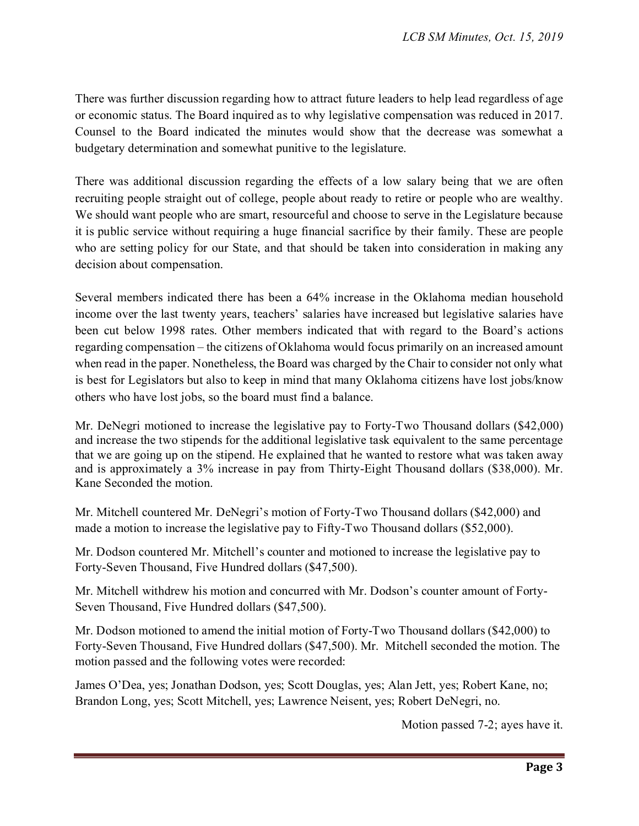There was further discussion regarding how to attract future leaders to help lead regardless of age or economic status. The Board inquired as to why legislative compensation was reduced in 2017. Counsel to the Board indicated the minutes would show that the decrease was somewhat a budgetary determination and somewhat punitive to the legislature.

There was additional discussion regarding the effects of a low salary being that we are often recruiting people straight out of college, people about ready to retire or people who are wealthy. We should want people who are smart, resourceful and choose to serve in the Legislature because it is public service without requiring a huge financial sacrifice by their family. These are people who are setting policy for our State, and that should be taken into consideration in making any decision about compensation.

Several members indicated there has been a 64% increase in the Oklahoma median household income over the last twenty years, teachers' salaries have increased but legislative salaries have been cut below 1998 rates. Other members indicated that with regard to the Board's actions regarding compensation – the citizens of Oklahoma would focus primarily on an increased amount when read in the paper. Nonetheless, the Board was charged by the Chair to consider not only what is best for Legislators but also to keep in mind that many Oklahoma citizens have lost jobs/know others who have lost jobs, so the board must find a balance.

Mr. DeNegri motioned to increase the legislative pay to Forty-Two Thousand dollars (\$42,000) and increase the two stipends for the additional legislative task equivalent to the same percentage that we are going up on the stipend. He explained that he wanted to restore what was taken away and is approximately a 3% increase in pay from Thirty-Eight Thousand dollars (\$38,000). Mr. Kane Seconded the motion.

Mr. Mitchell countered Mr. DeNegri's motion of Forty-Two Thousand dollars (\$42,000) and made a motion to increase the legislative pay to Fifty-Two Thousand dollars (\$52,000).

Mr. Dodson countered Mr. Mitchell's counter and motioned to increase the legislative pay to Forty-Seven Thousand, Five Hundred dollars (\$47,500).

Mr. Mitchell withdrew his motion and concurred with Mr. Dodson's counter amount of Forty-Seven Thousand, Five Hundred dollars (\$47,500).

Mr. Dodson motioned to amend the initial motion of Forty-Two Thousand dollars (\$42,000) to Forty-Seven Thousand, Five Hundred dollars (\$47,500). Mr. Mitchell seconded the motion. The motion passed and the following votes were recorded:

James O'Dea, yes; Jonathan Dodson, yes; Scott Douglas, yes; Alan Jett, yes; Robert Kane, no; Brandon Long, yes; Scott Mitchell, yes; Lawrence Neisent, yes; Robert DeNegri, no.

Motion passed 7-2; ayes have it.